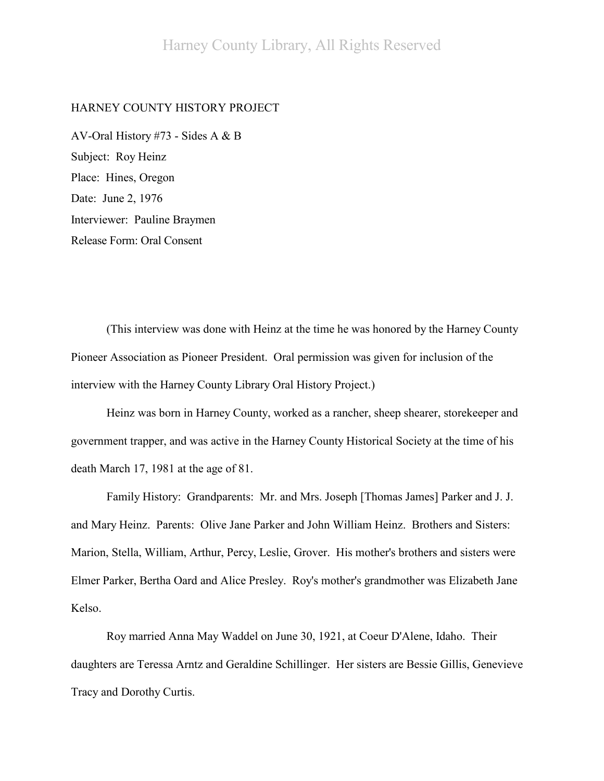# HARNEY COUNTY HISTORY PROJECT

AV-Oral History #73 - Sides A & B Subject: Roy Heinz Place: Hines, Oregon Date: June 2, 1976 Interviewer: Pauline Braymen Release Form: Oral Consent

(This interview was done with Heinz at the time he was honored by the Harney County Pioneer Association as Pioneer President. Oral permission was given for inclusion of the interview with the Harney County Library Oral History Project.)

Heinz was born in Harney County, worked as a rancher, sheep shearer, storekeeper and government trapper, and was active in the Harney County Historical Society at the time of his death March 17, 1981 at the age of 81.

Family History: Grandparents: Mr. and Mrs. Joseph [Thomas James] Parker and J. J. and Mary Heinz. Parents: Olive Jane Parker and John William Heinz. Brothers and Sisters: Marion, Stella, William, Arthur, Percy, Leslie, Grover. His mother's brothers and sisters were Elmer Parker, Bertha Oard and Alice Presley. Roy's mother's grandmother was Elizabeth Jane Kelso.

Roy married Anna May Waddel on June 30, 1921, at Coeur D'Alene, Idaho. Their daughters are Teressa Arntz and Geraldine Schillinger. Her sisters are Bessie Gillis, Genevieve Tracy and Dorothy Curtis.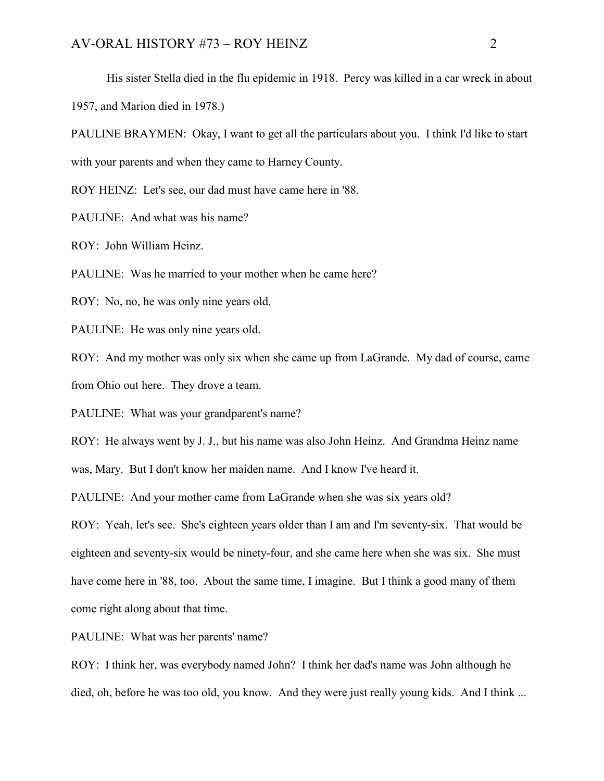His sister Stella died in the flu epidemic in 1918. Percy was killed in a car wreck in about 1957, and Marion died in 1978.)

PAULINE BRAYMEN: Okay, I want to get all the particulars about you. I think I'd like to start with your parents and when they came to Harney County.

ROY HEINZ: Let's see, our dad must have came here in '88.

PAULINE: And what was his name?

ROY: John William Heinz.

PAULINE: Was he married to your mother when he came here?

ROY: No, no, he was only nine years old.

PAULINE: He was only nine years old.

ROY: And my mother was only six when she came up from LaGrande. My dad of course, came from Ohio out here. They drove a team.

PAULINE: What was your grandparent's name?

ROY: He always went by J. J., but his name was also John Heinz. And Grandma Heinz name

was, Mary. But I don't know her maiden name. And I know I've heard it.

PAULINE: And your mother came from LaGrande when she was six years old?

ROY: Yeah, let's see. She's eighteen years older than I am and I'm seventy-six. That would be eighteen and seventy-six would be ninety-four, and she came here when she was six. She must have come here in '88, too. About the same time, I imagine. But I think a good many of them come right along about that time.

PAULINE: What was her parents' name?

ROY: I think her, was everybody named John? I think her dad's name was John although he died, oh, before he was too old, you know. And they were just really young kids. And I think ...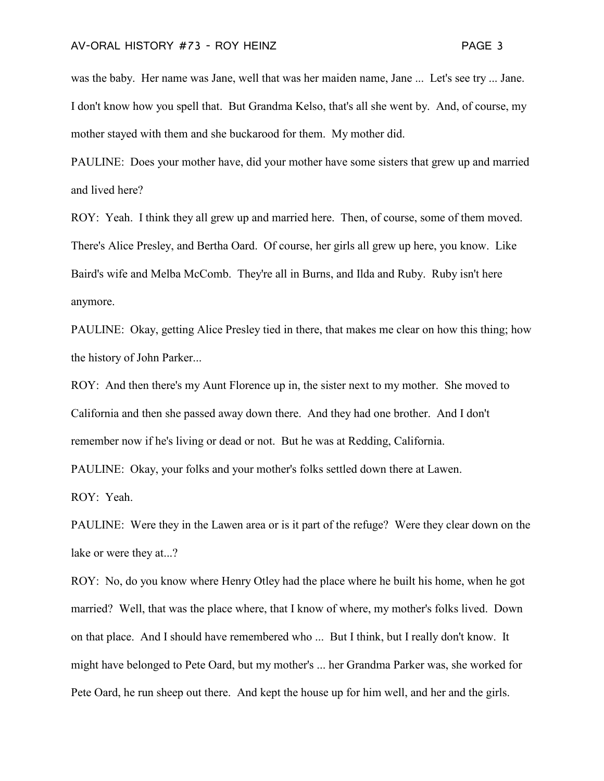was the baby. Her name was Jane, well that was her maiden name, Jane ... Let's see try ... Jane. I don't know how you spell that. But Grandma Kelso, that's all she went by. And, of course, my mother stayed with them and she buckarood for them. My mother did.

PAULINE: Does your mother have, did your mother have some sisters that grew up and married and lived here?

ROY: Yeah. I think they all grew up and married here. Then, of course, some of them moved. There's Alice Presley, and Bertha Oard. Of course, her girls all grew up here, you know. Like Baird's wife and Melba McComb. They're all in Burns, and Ilda and Ruby. Ruby isn't here anymore.

PAULINE: Okay, getting Alice Presley tied in there, that makes me clear on how this thing; how the history of John Parker...

ROY: And then there's my Aunt Florence up in, the sister next to my mother. She moved to California and then she passed away down there. And they had one brother. And I don't remember now if he's living or dead or not. But he was at Redding, California.

PAULINE: Okay, your folks and your mother's folks settled down there at Lawen.

ROY: Yeah.

PAULINE: Were they in the Lawen area or is it part of the refuge? Were they clear down on the lake or were they at...?

ROY: No, do you know where Henry Otley had the place where he built his home, when he got married? Well, that was the place where, that I know of where, my mother's folks lived. Down on that place. And I should have remembered who ... But I think, but I really don't know. It might have belonged to Pete Oard, but my mother's ... her Grandma Parker was, she worked for Pete Oard, he run sheep out there. And kept the house up for him well, and her and the girls.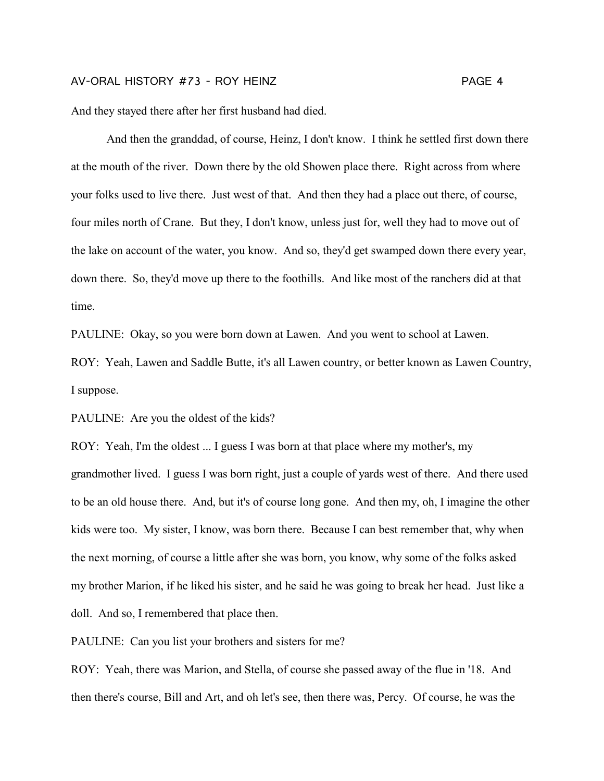And they stayed there after her first husband had died.

And then the granddad, of course, Heinz, I don't know. I think he settled first down there at the mouth of the river. Down there by the old Showen place there. Right across from where your folks used to live there. Just west of that. And then they had a place out there, of course, four miles north of Crane. But they, I don't know, unless just for, well they had to move out of the lake on account of the water, you know. And so, they'd get swamped down there every year, down there. So, they'd move up there to the foothills. And like most of the ranchers did at that time.

PAULINE: Okay, so you were born down at Lawen. And you went to school at Lawen.

ROY: Yeah, Lawen and Saddle Butte, it's all Lawen country, or better known as Lawen Country, I suppose.

PAULINE: Are you the oldest of the kids?

ROY: Yeah, I'm the oldest ... I guess I was born at that place where my mother's, my grandmother lived. I guess I was born right, just a couple of yards west of there. And there used to be an old house there. And, but it's of course long gone. And then my, oh, I imagine the other kids were too. My sister, I know, was born there. Because I can best remember that, why when the next morning, of course a little after she was born, you know, why some of the folks asked my brother Marion, if he liked his sister, and he said he was going to break her head. Just like a doll. And so, I remembered that place then.

PAULINE: Can you list your brothers and sisters for me?

ROY: Yeah, there was Marion, and Stella, of course she passed away of the flue in '18. And then there's course, Bill and Art, and oh let's see, then there was, Percy. Of course, he was the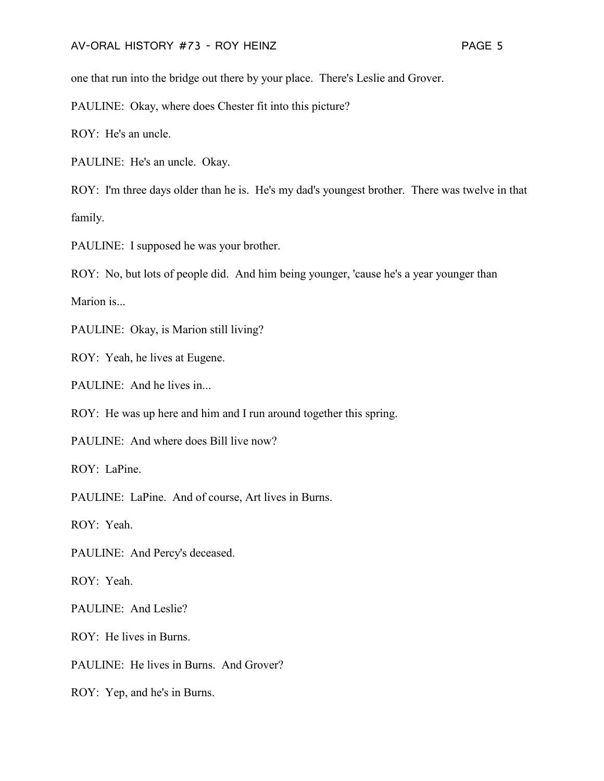one that run into the bridge out there by your place. There's Leslie and Grover.

PAULINE: Okay, where does Chester fit into this picture?

ROY: He's an uncle.

PAULINE: He's an uncle. Okay.

ROY: I'm three days older than he is. He's my dad's youngest brother. There was twelve in that family.

PAULINE: I supposed he was your brother.

ROY: No, but lots of people did. And him being younger, 'cause he's a year younger than

Marion is...

PAULINE: Okay, is Marion still living?

ROY: Yeah, he lives at Eugene.

PAULINE: And he lives in...

ROY: He was up here and him and I run around together this spring.

PAULINE: And where does Bill live now?

ROY: LaPine.

PAULINE: LaPine. And of course, Art lives in Burns.

ROY: Yeah.

PAULINE: And Percy's deceased.

ROY: Yeah.

PAULINE: And Leslie?

ROY: He lives in Burns.

PAULINE: He lives in Burns. And Grover?

ROY: Yep, and he's in Burns.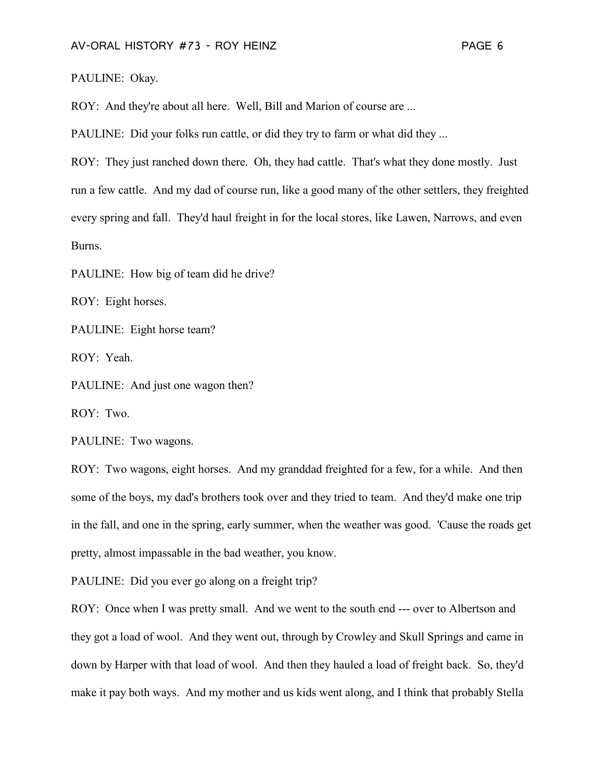PAULINE: Okay.

ROY: And they're about all here. Well, Bill and Marion of course are ...

PAULINE: Did your folks run cattle, or did they try to farm or what did they ...

ROY: They just ranched down there. Oh, they had cattle. That's what they done mostly. Just run a few cattle. And my dad of course run, like a good many of the other settlers, they freighted every spring and fall. They'd haul freight in for the local stores, like Lawen, Narrows, and even Burns.

PAULINE: How big of team did he drive?

ROY: Eight horses.

PAULINE: Eight horse team?

ROY: Yeah.

PAULINE: And just one wagon then?

ROY: Two.

PAULINE: Two wagons.

ROY: Two wagons, eight horses. And my granddad freighted for a few, for a while. And then some of the boys, my dad's brothers took over and they tried to team. And they'd make one trip in the fall, and one in the spring, early summer, when the weather was good. 'Cause the roads get pretty, almost impassable in the bad weather, you know.

PAULINE: Did you ever go along on a freight trip?

ROY: Once when I was pretty small. And we went to the south end --- over to Albertson and they got a load of wool. And they went out, through by Crowley and Skull Springs and came in down by Harper with that load of wool. And then they hauled a load of freight back. So, they'd make it pay both ways. And my mother and us kids went along, and I think that probably Stella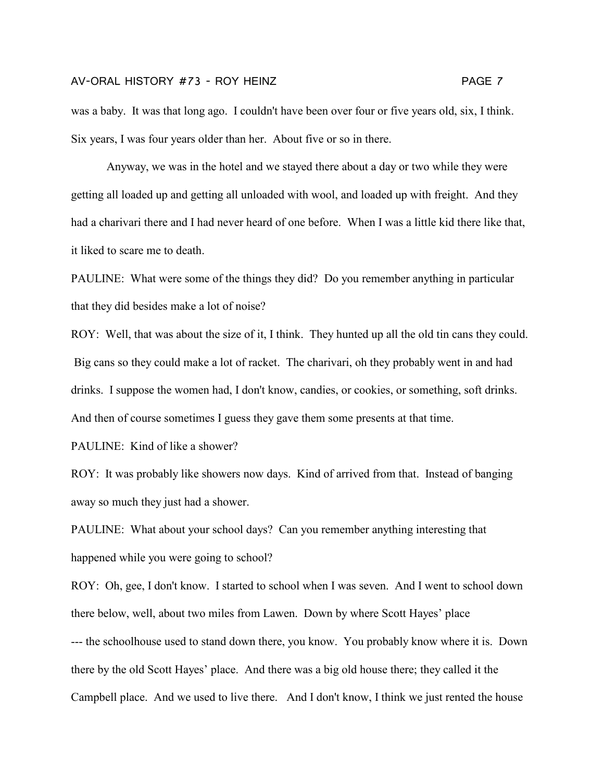Anyway, we was in the hotel and we stayed there about a day or two while they were getting all loaded up and getting all unloaded with wool, and loaded up with freight. And they had a charivari there and I had never heard of one before. When I was a little kid there like that, it liked to scare me to death.

PAULINE: What were some of the things they did? Do you remember anything in particular that they did besides make a lot of noise?

ROY: Well, that was about the size of it, I think. They hunted up all the old tin cans they could. Big cans so they could make a lot of racket. The charivari, oh they probably went in and had drinks. I suppose the women had, I don't know, candies, or cookies, or something, soft drinks. And then of course sometimes I guess they gave them some presents at that time.

PAULINE: Kind of like a shower?

ROY: It was probably like showers now days. Kind of arrived from that. Instead of banging away so much they just had a shower.

PAULINE: What about your school days? Can you remember anything interesting that happened while you were going to school?

ROY: Oh, gee, I don't know. I started to school when I was seven. And I went to school down there below, well, about two miles from Lawen. Down by where Scott Hayes' place --- the schoolhouse used to stand down there, you know. You probably know where it is. Down there by the old Scott Hayes' place. And there was a big old house there; they called it the Campbell place. And we used to live there. And I don't know, I think we just rented the house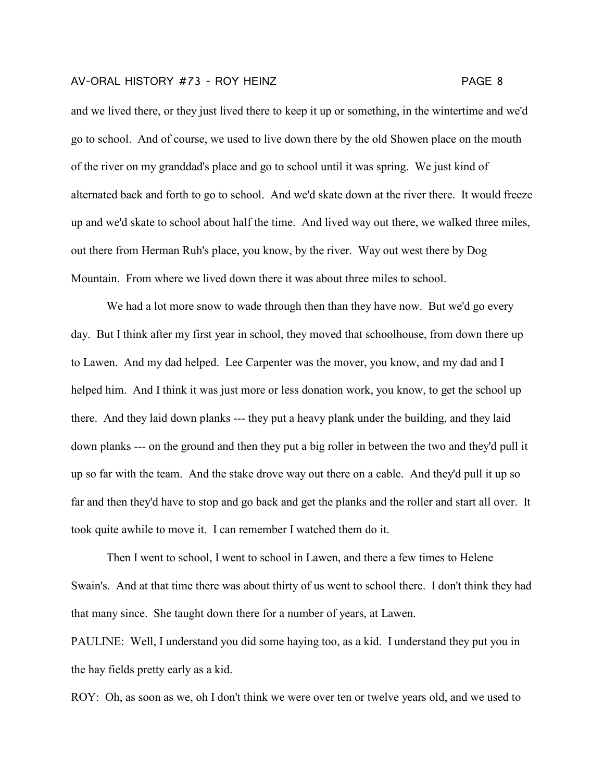and we lived there, or they just lived there to keep it up or something, in the wintertime and we'd go to school. And of course, we used to live down there by the old Showen place on the mouth of the river on my granddad's place and go to school until it was spring. We just kind of alternated back and forth to go to school. And we'd skate down at the river there. It would freeze up and we'd skate to school about half the time. And lived way out there, we walked three miles, out there from Herman Ruh's place, you know, by the river. Way out west there by Dog Mountain. From where we lived down there it was about three miles to school.

We had a lot more snow to wade through then than they have now. But we'd go every day. But I think after my first year in school, they moved that schoolhouse, from down there up to Lawen. And my dad helped. Lee Carpenter was the mover, you know, and my dad and I helped him. And I think it was just more or less donation work, you know, to get the school up there. And they laid down planks --- they put a heavy plank under the building, and they laid down planks --- on the ground and then they put a big roller in between the two and they'd pull it up so far with the team. And the stake drove way out there on a cable. And they'd pull it up so far and then they'd have to stop and go back and get the planks and the roller and start all over. It took quite awhile to move it. I can remember I watched them do it.

Then I went to school, I went to school in Lawen, and there a few times to Helene Swain's. And at that time there was about thirty of us went to school there. I don't think they had that many since. She taught down there for a number of years, at Lawen.

PAULINE: Well, I understand you did some haying too, as a kid. I understand they put you in the hay fields pretty early as a kid.

ROY: Oh, as soon as we, oh I don't think we were over ten or twelve years old, and we used to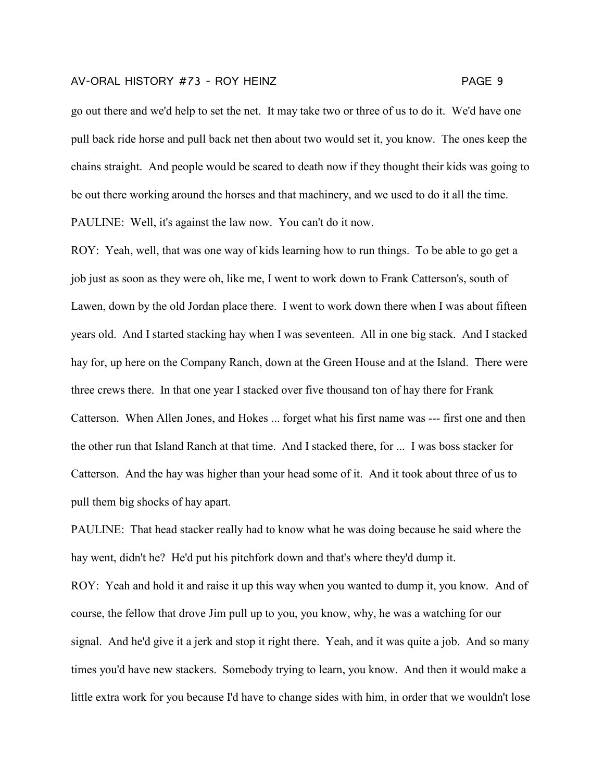go out there and we'd help to set the net. It may take two or three of us to do it. We'd have one pull back ride horse and pull back net then about two would set it, you know. The ones keep the chains straight. And people would be scared to death now if they thought their kids was going to be out there working around the horses and that machinery, and we used to do it all the time. PAULINE: Well, it's against the law now. You can't do it now.

ROY: Yeah, well, that was one way of kids learning how to run things. To be able to go get a job just as soon as they were oh, like me, I went to work down to Frank Catterson's, south of Lawen, down by the old Jordan place there. I went to work down there when I was about fifteen years old. And I started stacking hay when I was seventeen. All in one big stack. And I stacked hay for, up here on the Company Ranch, down at the Green House and at the Island. There were three crews there. In that one year I stacked over five thousand ton of hay there for Frank Catterson. When Allen Jones, and Hokes ... forget what his first name was --- first one and then the other run that Island Ranch at that time. And I stacked there, for ... I was boss stacker for Catterson. And the hay was higher than your head some of it. And it took about three of us to pull them big shocks of hay apart.

PAULINE: That head stacker really had to know what he was doing because he said where the hay went, didn't he? He'd put his pitchfork down and that's where they'd dump it.

ROY: Yeah and hold it and raise it up this way when you wanted to dump it, you know. And of course, the fellow that drove Jim pull up to you, you know, why, he was a watching for our signal. And he'd give it a jerk and stop it right there. Yeah, and it was quite a job. And so many times you'd have new stackers. Somebody trying to learn, you know. And then it would make a little extra work for you because I'd have to change sides with him, in order that we wouldn't lose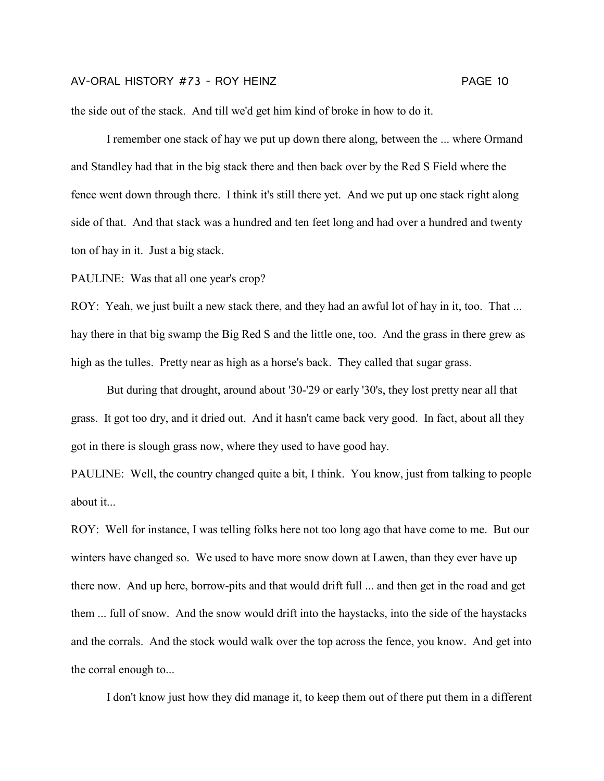the side out of the stack. And till we'd get him kind of broke in how to do it.

I remember one stack of hay we put up down there along, between the ... where Ormand and Standley had that in the big stack there and then back over by the Red S Field where the fence went down through there. I think it's still there yet. And we put up one stack right along side of that. And that stack was a hundred and ten feet long and had over a hundred and twenty ton of hay in it. Just a big stack.

PAULINE: Was that all one year's crop?

ROY: Yeah, we just built a new stack there, and they had an awful lot of hay in it, too. That ... hay there in that big swamp the Big Red S and the little one, too. And the grass in there grew as high as the tulles. Pretty near as high as a horse's back. They called that sugar grass.

But during that drought, around about '30-'29 or early '30's, they lost pretty near all that grass. It got too dry, and it dried out. And it hasn't came back very good. In fact, about all they got in there is slough grass now, where they used to have good hay.

PAULINE: Well, the country changed quite a bit, I think. You know, just from talking to people about it...

ROY: Well for instance, I was telling folks here not too long ago that have come to me. But our winters have changed so. We used to have more snow down at Lawen, than they ever have up there now. And up here, borrow-pits and that would drift full ... and then get in the road and get them ... full of snow. And the snow would drift into the haystacks, into the side of the haystacks and the corrals. And the stock would walk over the top across the fence, you know. And get into the corral enough to...

I don't know just how they did manage it, to keep them out of there put them in a different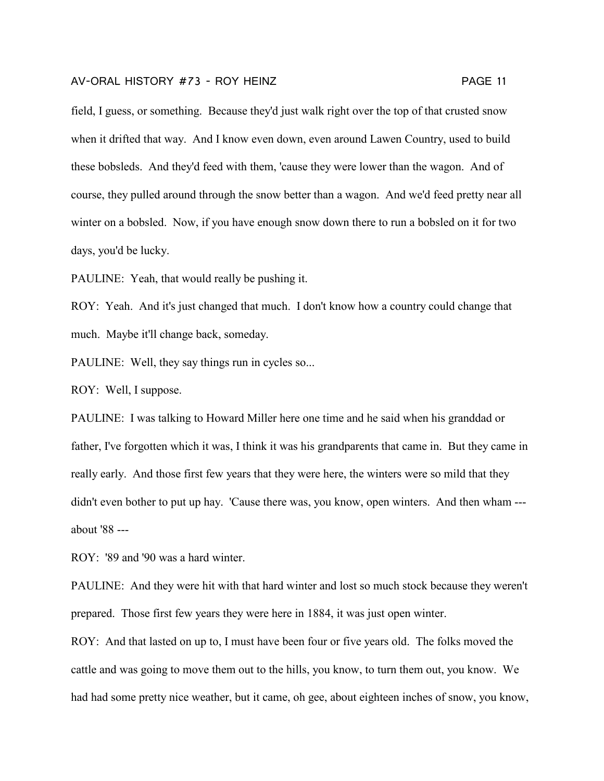field, I guess, or something. Because they'd just walk right over the top of that crusted snow when it drifted that way. And I know even down, even around Lawen Country, used to build these bobsleds. And they'd feed with them, 'cause they were lower than the wagon. And of course, they pulled around through the snow better than a wagon. And we'd feed pretty near all winter on a bobsled. Now, if you have enough snow down there to run a bobsled on it for two days, you'd be lucky.

PAULINE: Yeah, that would really be pushing it.

ROY: Yeah. And it's just changed that much. I don't know how a country could change that much. Maybe it'll change back, someday.

PAULINE: Well, they say things run in cycles so...

ROY: Well, I suppose.

PAULINE: I was talking to Howard Miller here one time and he said when his granddad or father, I've forgotten which it was, I think it was his grandparents that came in. But they came in really early. And those first few years that they were here, the winters were so mild that they didn't even bother to put up hay. 'Cause there was, you know, open winters. And then wham -- about '88 ---

ROY: '89 and '90 was a hard winter.

PAULINE: And they were hit with that hard winter and lost so much stock because they weren't prepared. Those first few years they were here in 1884, it was just open winter.

ROY: And that lasted on up to, I must have been four or five years old. The folks moved the cattle and was going to move them out to the hills, you know, to turn them out, you know. We had had some pretty nice weather, but it came, oh gee, about eighteen inches of snow, you know,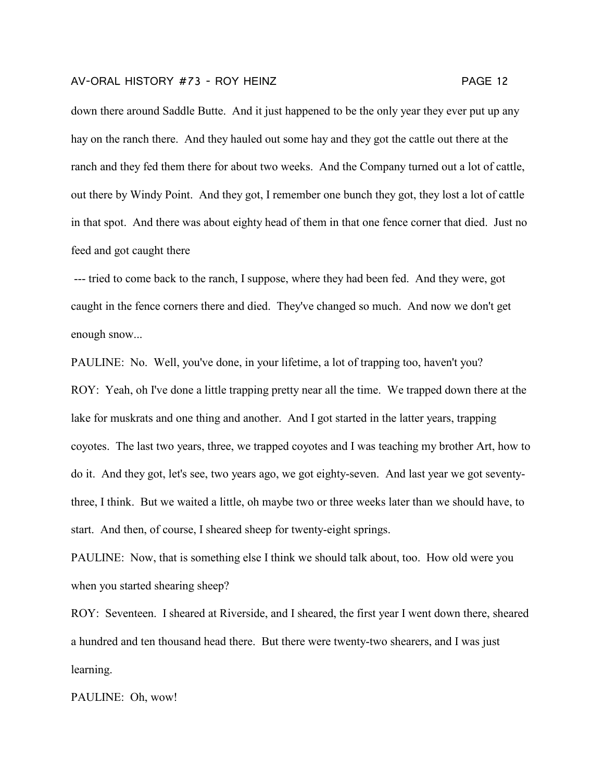down there around Saddle Butte. And it just happened to be the only year they ever put up any hay on the ranch there. And they hauled out some hay and they got the cattle out there at the ranch and they fed them there for about two weeks. And the Company turned out a lot of cattle, out there by Windy Point. And they got, I remember one bunch they got, they lost a lot of cattle in that spot. And there was about eighty head of them in that one fence corner that died. Just no feed and got caught there

--- tried to come back to the ranch, I suppose, where they had been fed. And they were, got caught in the fence corners there and died. They've changed so much. And now we don't get enough snow...

PAULINE: No. Well, you've done, in your lifetime, a lot of trapping too, haven't you? ROY: Yeah, oh I've done a little trapping pretty near all the time. We trapped down there at the lake for muskrats and one thing and another. And I got started in the latter years, trapping coyotes. The last two years, three, we trapped coyotes and I was teaching my brother Art, how to do it. And they got, let's see, two years ago, we got eighty-seven. And last year we got seventythree, I think. But we waited a little, oh maybe two or three weeks later than we should have, to start. And then, of course, I sheared sheep for twenty-eight springs.

PAULINE: Now, that is something else I think we should talk about, too. How old were you when you started shearing sheep?

ROY: Seventeen. I sheared at Riverside, and I sheared, the first year I went down there, sheared a hundred and ten thousand head there. But there were twenty-two shearers, and I was just learning.

PAULINE: Oh, wow!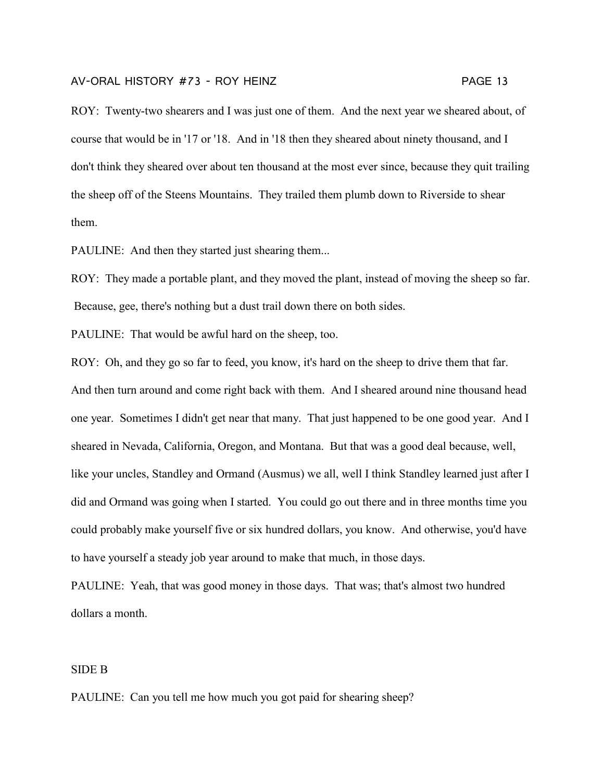ROY: Twenty-two shearers and I was just one of them. And the next year we sheared about, of course that would be in '17 or '18. And in '18 then they sheared about ninety thousand, and I don't think they sheared over about ten thousand at the most ever since, because they quit trailing the sheep off of the Steens Mountains. They trailed them plumb down to Riverside to shear them.

PAULINE: And then they started just shearing them...

ROY: They made a portable plant, and they moved the plant, instead of moving the sheep so far. Because, gee, there's nothing but a dust trail down there on both sides.

PAULINE: That would be awful hard on the sheep, too.

ROY: Oh, and they go so far to feed, you know, it's hard on the sheep to drive them that far. And then turn around and come right back with them. And I sheared around nine thousand head one year. Sometimes I didn't get near that many. That just happened to be one good year. And I sheared in Nevada, California, Oregon, and Montana. But that was a good deal because, well, like your uncles, Standley and Ormand (Ausmus) we all, well I think Standley learned just after I did and Ormand was going when I started. You could go out there and in three months time you could probably make yourself five or six hundred dollars, you know. And otherwise, you'd have to have yourself a steady job year around to make that much, in those days.

PAULINE: Yeah, that was good money in those days. That was; that's almost two hundred dollars a month.

## SIDE B

PAULINE: Can you tell me how much you got paid for shearing sheep?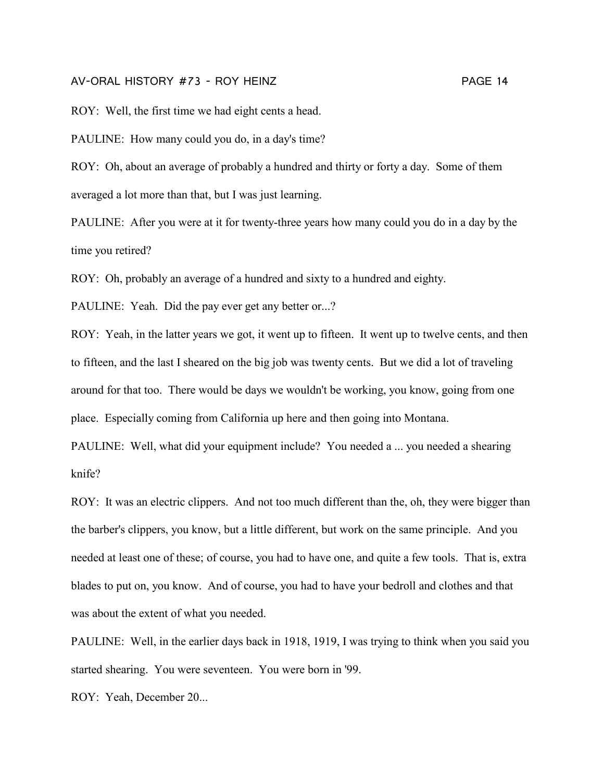ROY: Well, the first time we had eight cents a head.

PAULINE: How many could you do, in a day's time?

ROY: Oh, about an average of probably a hundred and thirty or forty a day. Some of them averaged a lot more than that, but I was just learning.

PAULINE: After you were at it for twenty-three years how many could you do in a day by the time you retired?

ROY: Oh, probably an average of a hundred and sixty to a hundred and eighty.

PAULINE: Yeah. Did the pay ever get any better or...?

ROY: Yeah, in the latter years we got, it went up to fifteen. It went up to twelve cents, and then to fifteen, and the last I sheared on the big job was twenty cents. But we did a lot of traveling around for that too. There would be days we wouldn't be working, you know, going from one place. Especially coming from California up here and then going into Montana.

PAULINE: Well, what did your equipment include? You needed a ... you needed a shearing knife?

ROY: It was an electric clippers. And not too much different than the, oh, they were bigger than the barber's clippers, you know, but a little different, but work on the same principle. And you needed at least one of these; of course, you had to have one, and quite a few tools. That is, extra blades to put on, you know. And of course, you had to have your bedroll and clothes and that was about the extent of what you needed.

PAULINE: Well, in the earlier days back in 1918, 1919, I was trying to think when you said you started shearing. You were seventeen. You were born in '99.

ROY: Yeah, December 20...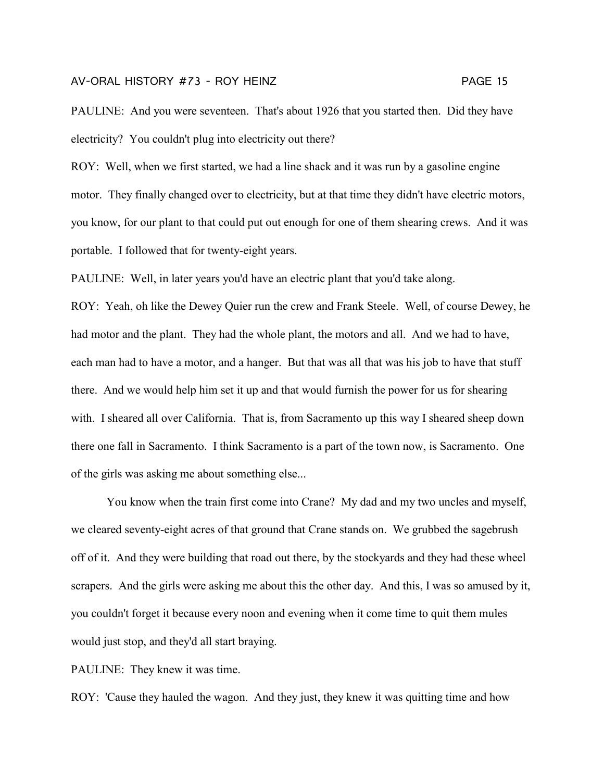PAULINE: And you were seventeen. That's about 1926 that you started then. Did they have electricity? You couldn't plug into electricity out there?

ROY: Well, when we first started, we had a line shack and it was run by a gasoline engine motor. They finally changed over to electricity, but at that time they didn't have electric motors, you know, for our plant to that could put out enough for one of them shearing crews. And it was portable. I followed that for twenty-eight years.

PAULINE: Well, in later years you'd have an electric plant that you'd take along.

ROY: Yeah, oh like the Dewey Quier run the crew and Frank Steele. Well, of course Dewey, he had motor and the plant. They had the whole plant, the motors and all. And we had to have, each man had to have a motor, and a hanger. But that was all that was his job to have that stuff there. And we would help him set it up and that would furnish the power for us for shearing with. I sheared all over California. That is, from Sacramento up this way I sheared sheep down there one fall in Sacramento. I think Sacramento is a part of the town now, is Sacramento. One of the girls was asking me about something else...

You know when the train first come into Crane? My dad and my two uncles and myself, we cleared seventy-eight acres of that ground that Crane stands on. We grubbed the sagebrush off of it. And they were building that road out there, by the stockyards and they had these wheel scrapers. And the girls were asking me about this the other day. And this, I was so amused by it, you couldn't forget it because every noon and evening when it come time to quit them mules would just stop, and they'd all start braying.

PAULINE: They knew it was time.

ROY: 'Cause they hauled the wagon. And they just, they knew it was quitting time and how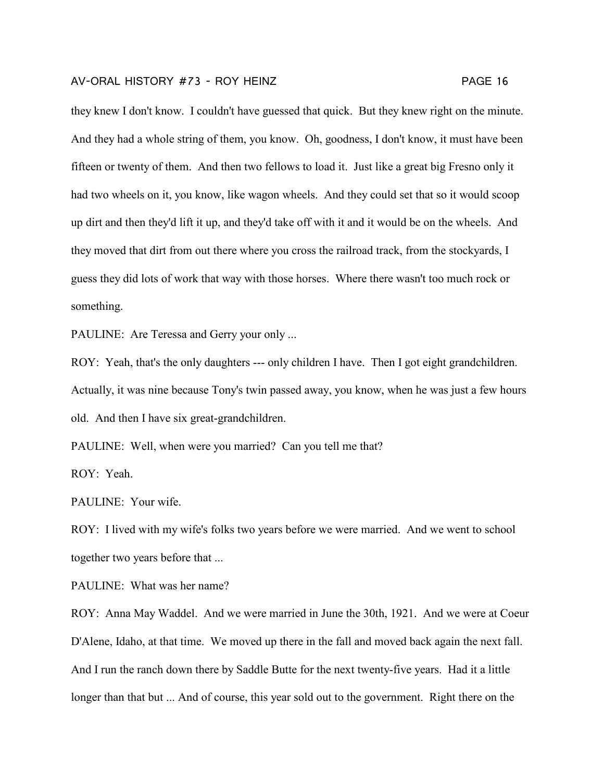they knew I don't know. I couldn't have guessed that quick. But they knew right on the minute. And they had a whole string of them, you know. Oh, goodness, I don't know, it must have been fifteen or twenty of them. And then two fellows to load it. Just like a great big Fresno only it had two wheels on it, you know, like wagon wheels. And they could set that so it would scoop up dirt and then they'd lift it up, and they'd take off with it and it would be on the wheels. And they moved that dirt from out there where you cross the railroad track, from the stockyards, I guess they did lots of work that way with those horses. Where there wasn't too much rock or something.

PAULINE: Are Teressa and Gerry your only ...

ROY: Yeah, that's the only daughters --- only children I have. Then I got eight grandchildren. Actually, it was nine because Tony's twin passed away, you know, when he was just a few hours old. And then I have six great-grandchildren.

PAULINE: Well, when were you married? Can you tell me that?

ROY: Yeah.

PAULINE: Your wife.

ROY: I lived with my wife's folks two years before we were married. And we went to school together two years before that ...

PAULINE: What was her name?

ROY: Anna May Waddel. And we were married in June the 30th, 1921. And we were at Coeur D'Alene, Idaho, at that time. We moved up there in the fall and moved back again the next fall. And I run the ranch down there by Saddle Butte for the next twenty-five years. Had it a little longer than that but ... And of course, this year sold out to the government. Right there on the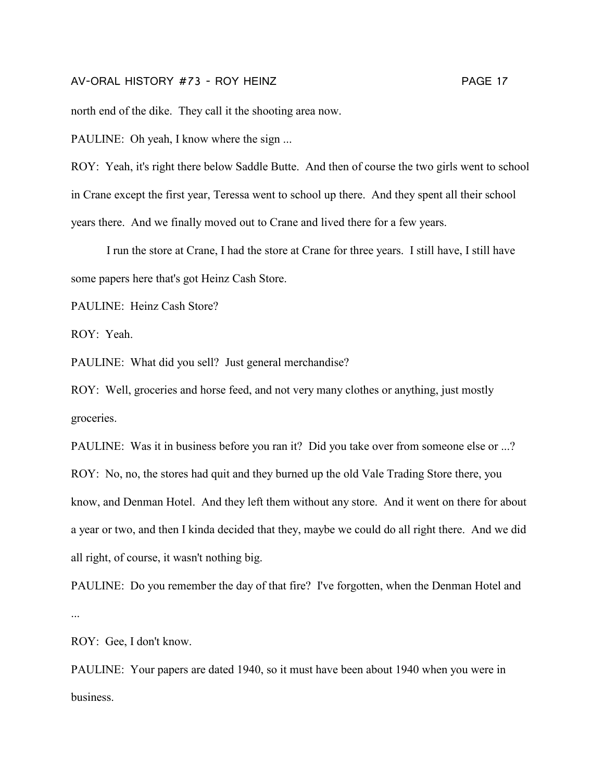north end of the dike. They call it the shooting area now.

PAULINE: Oh yeah, I know where the sign ...

ROY: Yeah, it's right there below Saddle Butte. And then of course the two girls went to school in Crane except the first year, Teressa went to school up there. And they spent all their school years there. And we finally moved out to Crane and lived there for a few years.

I run the store at Crane, I had the store at Crane for three years. I still have, I still have some papers here that's got Heinz Cash Store.

PAULINE: Heinz Cash Store?

ROY: Yeah.

PAULINE: What did you sell? Just general merchandise?

ROY: Well, groceries and horse feed, and not very many clothes or anything, just mostly groceries.

PAULINE: Was it in business before you ran it? Did you take over from someone else or ...? ROY: No, no, the stores had quit and they burned up the old Vale Trading Store there, you know, and Denman Hotel. And they left them without any store. And it went on there for about a year or two, and then I kinda decided that they, maybe we could do all right there. And we did all right, of course, it wasn't nothing big.

PAULINE: Do you remember the day of that fire? I've forgotten, when the Denman Hotel and ...

ROY: Gee, I don't know.

PAULINE: Your papers are dated 1940, so it must have been about 1940 when you were in business.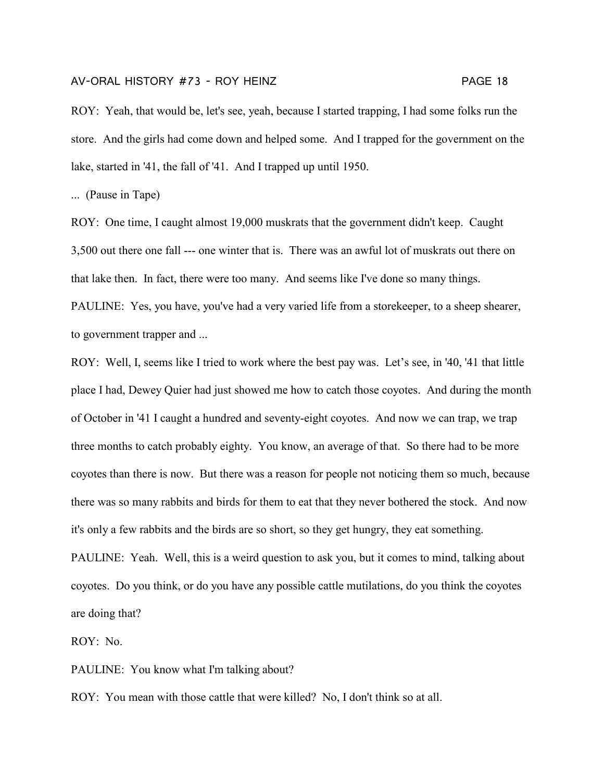ROY: Yeah, that would be, let's see, yeah, because I started trapping, I had some folks run the store. And the girls had come down and helped some. And I trapped for the government on the lake, started in '41, the fall of '41. And I trapped up until 1950.

... (Pause in Tape)

ROY: One time, I caught almost 19,000 muskrats that the government didn't keep. Caught 3,500 out there one fall --- one winter that is. There was an awful lot of muskrats out there on that lake then. In fact, there were too many. And seems like I've done so many things. PAULINE: Yes, you have, you've had a very varied life from a storekeeper, to a sheep shearer, to government trapper and ...

ROY: Well, I, seems like I tried to work where the best pay was. Let's see, in '40, '41 that little place I had, Dewey Quier had just showed me how to catch those coyotes. And during the month of October in '41 I caught a hundred and seventy-eight coyotes. And now we can trap, we trap three months to catch probably eighty. You know, an average of that. So there had to be more coyotes than there is now. But there was a reason for people not noticing them so much, because there was so many rabbits and birds for them to eat that they never bothered the stock. And now it's only a few rabbits and the birds are so short, so they get hungry, they eat something.

PAULINE: Yeah. Well, this is a weird question to ask you, but it comes to mind, talking about coyotes. Do you think, or do you have any possible cattle mutilations, do you think the coyotes are doing that?

ROY: No.

PAULINE: You know what I'm talking about?

ROY: You mean with those cattle that were killed? No, I don't think so at all.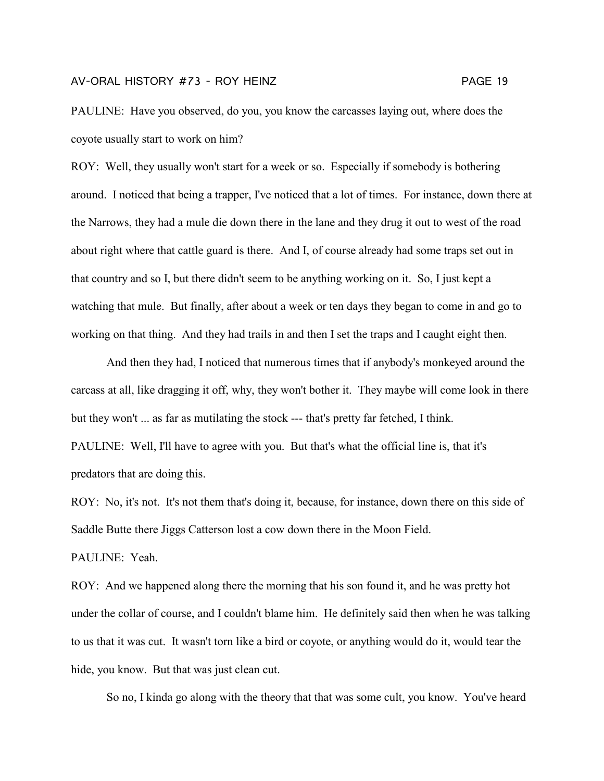PAULINE: Have you observed, do you, you know the carcasses laying out, where does the coyote usually start to work on him?

ROY: Well, they usually won't start for a week or so. Especially if somebody is bothering around. I noticed that being a trapper, I've noticed that a lot of times. For instance, down there at the Narrows, they had a mule die down there in the lane and they drug it out to west of the road about right where that cattle guard is there. And I, of course already had some traps set out in that country and so I, but there didn't seem to be anything working on it. So, I just kept a watching that mule. But finally, after about a week or ten days they began to come in and go to working on that thing. And they had trails in and then I set the traps and I caught eight then.

And then they had, I noticed that numerous times that if anybody's monkeyed around the carcass at all, like dragging it off, why, they won't bother it. They maybe will come look in there but they won't ... as far as mutilating the stock --- that's pretty far fetched, I think. PAULINE: Well, I'll have to agree with you. But that's what the official line is, that it's predators that are doing this.

ROY: No, it's not. It's not them that's doing it, because, for instance, down there on this side of Saddle Butte there Jiggs Catterson lost a cow down there in the Moon Field.

PAULINE: Yeah.

ROY: And we happened along there the morning that his son found it, and he was pretty hot under the collar of course, and I couldn't blame him. He definitely said then when he was talking to us that it was cut. It wasn't torn like a bird or coyote, or anything would do it, would tear the hide, you know. But that was just clean cut.

So no, I kinda go along with the theory that that was some cult, you know. You've heard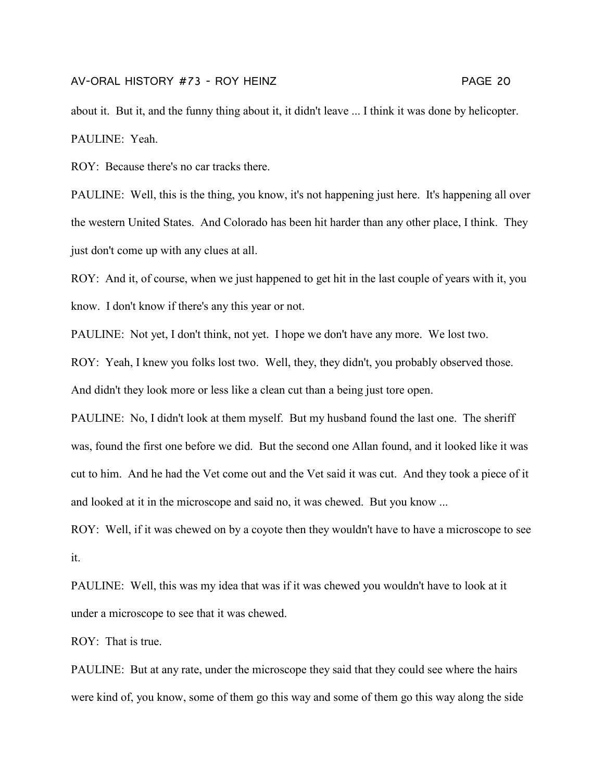about it. But it, and the funny thing about it, it didn't leave ... I think it was done by helicopter. PAULINE: Yeah.

ROY: Because there's no car tracks there.

PAULINE: Well, this is the thing, you know, it's not happening just here. It's happening all over the western United States. And Colorado has been hit harder than any other place, I think. They just don't come up with any clues at all.

ROY: And it, of course, when we just happened to get hit in the last couple of years with it, you know. I don't know if there's any this year or not.

PAULINE: Not yet, I don't think, not yet. I hope we don't have any more. We lost two.

ROY: Yeah, I knew you folks lost two. Well, they, they didn't, you probably observed those. And didn't they look more or less like a clean cut than a being just tore open.

PAULINE: No, I didn't look at them myself. But my husband found the last one. The sheriff was, found the first one before we did. But the second one Allan found, and it looked like it was cut to him. And he had the Vet come out and the Vet said it was cut. And they took a piece of it and looked at it in the microscope and said no, it was chewed. But you know ...

ROY: Well, if it was chewed on by a coyote then they wouldn't have to have a microscope to see it.

PAULINE: Well, this was my idea that was if it was chewed you wouldn't have to look at it under a microscope to see that it was chewed.

ROY: That is true.

PAULINE: But at any rate, under the microscope they said that they could see where the hairs were kind of, you know, some of them go this way and some of them go this way along the side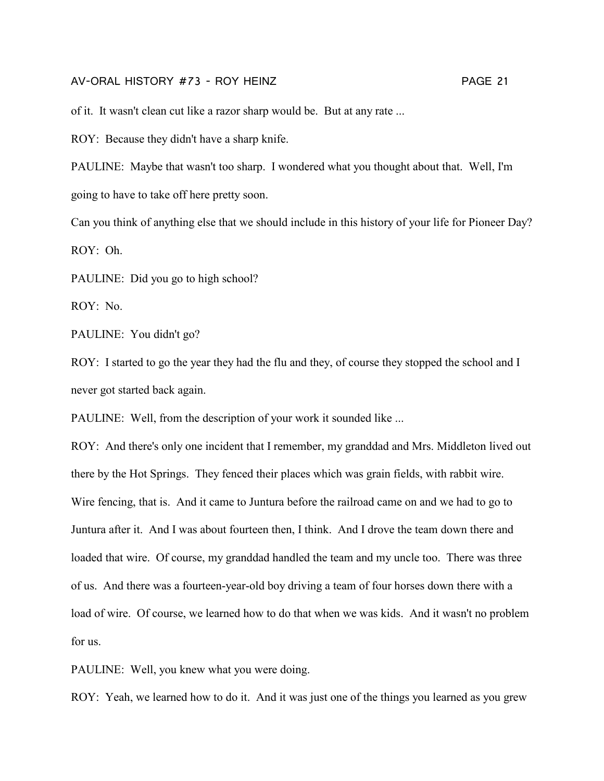of it. It wasn't clean cut like a razor sharp would be. But at any rate ...

ROY: Because they didn't have a sharp knife.

PAULINE: Maybe that wasn't too sharp. I wondered what you thought about that. Well, I'm going to have to take off here pretty soon.

Can you think of anything else that we should include in this history of your life for Pioneer Day? ROY: Oh.

PAULINE: Did you go to high school?

ROY: No.

PAULINE: You didn't go?

ROY: I started to go the year they had the flu and they, of course they stopped the school and I never got started back again.

PAULINE: Well, from the description of your work it sounded like ...

ROY: And there's only one incident that I remember, my granddad and Mrs. Middleton lived out there by the Hot Springs. They fenced their places which was grain fields, with rabbit wire. Wire fencing, that is. And it came to Juntura before the railroad came on and we had to go to Juntura after it. And I was about fourteen then, I think. And I drove the team down there and loaded that wire. Of course, my granddad handled the team and my uncle too. There was three of us. And there was a fourteen-year-old boy driving a team of four horses down there with a load of wire. Of course, we learned how to do that when we was kids. And it wasn't no problem for us.

PAULINE: Well, you knew what you were doing.

ROY: Yeah, we learned how to do it. And it was just one of the things you learned as you grew